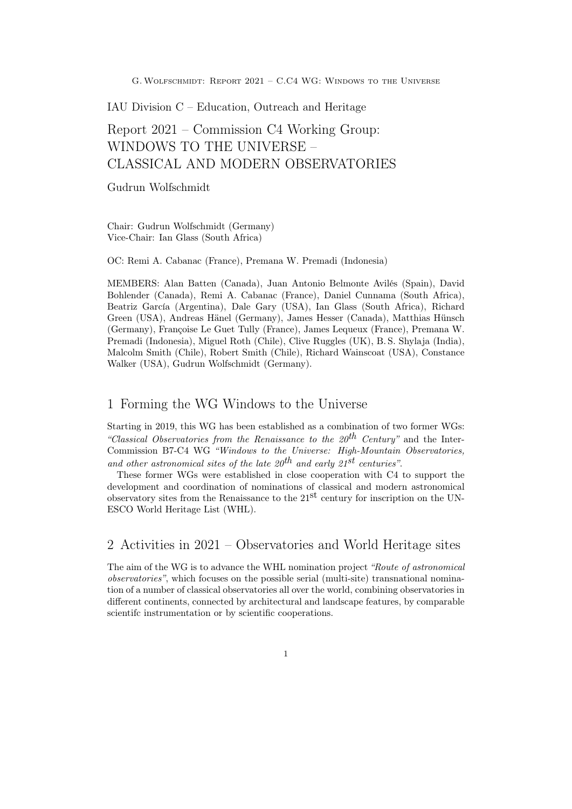IAU Division C – Education, Outreach and Heritage

# Report 2021 – Commission C4 Working Group: WINDOWS TO THE UNIVERSE – CLASSICAL AND MODERN OBSERVATORIES

Gudrun Wolfschmidt

Chair: Gudrun Wolfschmidt (Germany) Vice-Chair: Ian Glass (South Africa)

OC: Remi A. Cabanac (France), Premana W. Premadi (Indonesia)

MEMBERS: Alan Batten (Canada), Juan Antonio Belmonte Avilés (Spain), David Bohlender (Canada), Remi A. Cabanac (France), Daniel Cunnama (South Africa), Beatriz García (Argentina), Dale Gary (USA), Ian Glass (South Africa), Richard Green (USA), Andreas Hänel (Germany), James Hesser (Canada), Matthias Hünsch (Germany), Françoise Le Guet Tully (France), James Lequeux (France), Premana W. Premadi (Indonesia), Miguel Roth (Chile), Clive Ruggles (UK), B. S. Shylaja (India), Malcolm Smith (Chile), Robert Smith (Chile), Richard Wainscoat (USA), Constance Walker (USA), Gudrun Wolfschmidt (Germany).

### 1 Forming the WG Windows to the Universe

Starting in 2019, this WG has been established as a combination of two former WGs: "Classical Observatories from the Renaissance to the  $20^{th}$  Century" and the Inter-Commission B7-C4 WG "Windows to the Universe: High-Mountain Observatories, and other astronomical sites of the late  $20^{th}$  and early  $21^{st}$  centuries".

These former WGs were established in close cooperation with C4 to support the development and coordination of nominations of classical and modern astronomical observatory sites from the Renaissance to the  $21<sup>st</sup>$  century for inscription on the UN-ESCO World Heritage List (WHL).

2 Activities in 2021 – Observatories and World Heritage sites

The aim of the WG is to advance the WHL nomination project "Route of astronomical observatories", which focuses on the possible serial (multi-site) transnational nomination of a number of classical observatories all over the world, combining observatories in different continents, connected by architectural and landscape features, by comparable scientifc instrumentation or by scientific cooperations.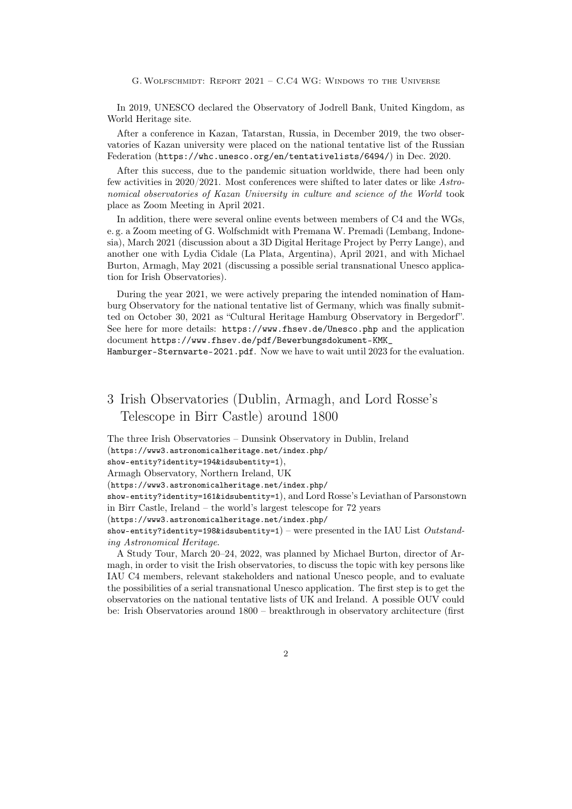In 2019, UNESCO declared the Observatory of Jodrell Bank, United Kingdom, as World Heritage site.

After a conference in Kazan, Tatarstan, Russia, in December 2019, the two observatories of Kazan university were placed on the national tentative list of the Russian Federation (https://whc.unesco.org/en/tentativelists/6494/) in Dec. 2020.

After this success, due to the pandemic situation worldwide, there had been only few activities in 2020/2021. Most conferences were shifted to later dates or like Astronomical observatories of Kazan University in culture and science of the World took place as Zoom Meeting in April 2021.

In addition, there were several online events between members of C4 and the WGs, e. g. a Zoom meeting of G. Wolfschmidt with Premana W. Premadi (Lembang, Indonesia), March 2021 (discussion about a 3D Digital Heritage Project by Perry Lange), and another one with Lydia Cidale (La Plata, Argentina), April 2021, and with Michael Burton, Armagh, May 2021 (discussing a possible serial transnational Unesco application for Irish Observatories).

During the year 2021, we were actively preparing the intended nomination of Hamburg Observatory for the national tentative list of Germany, which was finally submitted on October 30, 2021 as "Cultural Heritage Hamburg Observatory in Bergedorf". See here for more details: https://www.fhsev.de/Unesco.php and the application document https://www.fhsev.de/pdf/Bewerbungsdokument-KMK\_

Hamburger-Sternwarte-2021.pdf. Now we have to wait until 2023 for the evaluation.

## 3 Irish Observatories (Dublin, Armagh, and Lord Rosse's Telescope in Birr Castle) around 1800

The three Irish Observatories – Dunsink Observatory in Dublin, Ireland

(https://www3.astronomicalheritage.net/index.php/

Armagh Observatory, Northern Ireland, UK

(https://www3.astronomicalheritage.net/index.php/

show-entity?identity=161&idsubentity=1), and Lord Rosse's Leviathan of Parsonstown in Birr Castle, Ireland – the world's largest telescope for 72 years

(https://www3.astronomicalheritage.net/index.php/

show-entity?identity=198&idsubentity=1) – were presented in the IAU List Outstanding Astronomical Heritage.

A Study Tour, March 20–24, 2022, was planned by Michael Burton, director of Armagh, in order to visit the Irish observatories, to discuss the topic with key persons like IAU C4 members, relevant stakeholders and national Unesco people, and to evaluate the possibilities of a serial transnational Unesco application. The first step is to get the observatories on the national tentative lists of UK and Ireland. A possible OUV could be: Irish Observatories around 1800 – breakthrough in observatory architecture (first

show-entity?identity=194&idsubentity=1),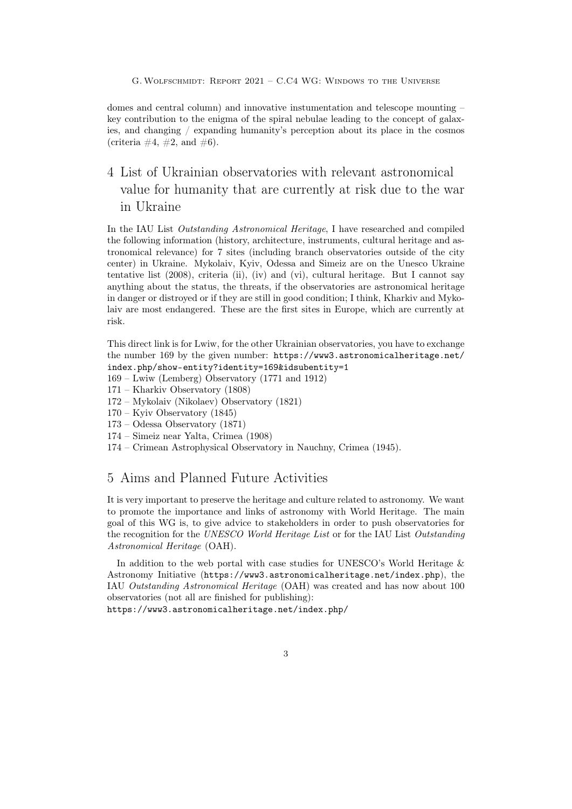domes and central column) and innovative instumentation and telescope mounting – key contribution to the enigma of the spiral nebulae leading to the concept of galaxies, and changing / expanding humanity's perception about its place in the cosmos (criteria  $\#4$ ,  $\#2$ , and  $\#6$ ).

## 4 List of Ukrainian observatories with relevant astronomical value for humanity that are currently at risk due to the war in Ukraine

In the IAU List Outstanding Astronomical Heritage, I have researched and compiled the following information (history, architecture, instruments, cultural heritage and astronomical relevance) for 7 sites (including branch observatories outside of the city center) in Ukraine. Mykolaiv, Kyiv, Odessa and Simeiz are on the Unesco Ukraine tentative list (2008), criteria (ii), (iv) and (vi), cultural heritage. But I cannot say anything about the status, the threats, if the observatories are astronomical heritage in danger or distroyed or if they are still in good condition; I think, Kharkiv and Mykolaiv are most endangered. These are the first sites in Europe, which are currently at risk.

This direct link is for Lwiw, for the other Ukrainian observatories, you have to exchange the number 169 by the given number: https://www3.astronomicalheritage.net/ index.php/show-entity?identity=169&idsubentity=1

- 169 Lwiw (Lemberg) Observatory (1771 and 1912)
- 171 Kharkiv Observatory (1808)
- 172 Mykolaiv (Nikolaev) Observatory (1821)
- 170 Kyiv Observatory (1845)
- 173 Odessa Observatory (1871)
- 174 Simeiz near Yalta, Crimea (1908)
- 174 Crimean Astrophysical Observatory in Nauchny, Crimea (1945).

### 5 Aims and Planned Future Activities

It is very important to preserve the heritage and culture related to astronomy. We want to promote the importance and links of astronomy with World Heritage. The main goal of this WG is, to give advice to stakeholders in order to push observatories for the recognition for the UNESCO World Heritage List or for the IAU List Outstanding Astronomical Heritage (OAH).

In addition to the web portal with case studies for UNESCO's World Heritage & Astronomy Initiative (https://www3.astronomicalheritage.net/index.php), the IAU Outstanding Astronomical Heritage (OAH) was created and has now about 100 observatories (not all are finished for publishing):

https://www3.astronomicalheritage.net/index.php/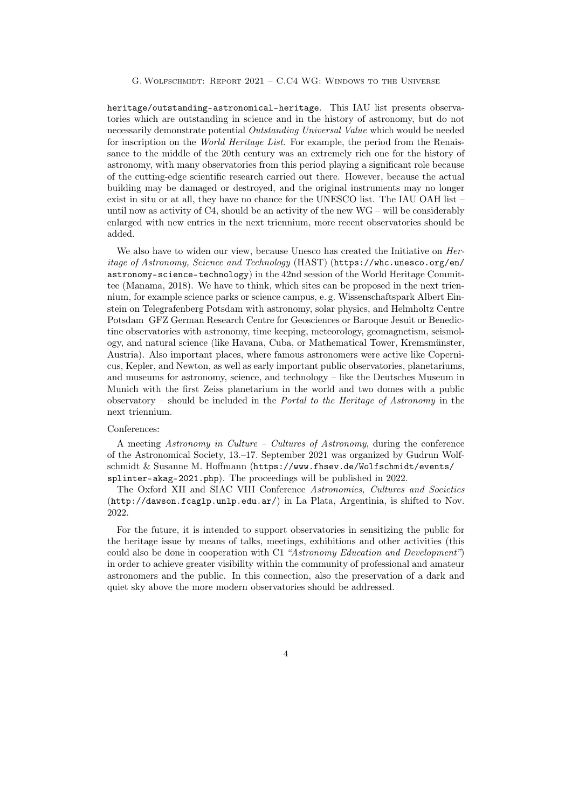heritage/outstanding-astronomical-heritage. This IAU list presents observatories which are outstanding in science and in the history of astronomy, but do not necessarily demonstrate potential Outstanding Universal Value which would be needed for inscription on the World Heritage List. For example, the period from the Renaissance to the middle of the 20th century was an extremely rich one for the history of astronomy, with many observatories from this period playing a significant role because of the cutting-edge scientific research carried out there. However, because the actual building may be damaged or destroyed, and the original instruments may no longer exist in situ or at all, they have no chance for the UNESCO list. The IAU OAH list – until now as activity of  $C4$ , should be an activity of the new  $WG -$  will be considerably enlarged with new entries in the next triennium, more recent observatories should be added.

We also have to widen our view, because Unesco has created the Initiative on *Her*itage of Astronomy, Science and Technology (HAST) (https://whc.unesco.org/en/ astronomy-science-technology) in the 42nd session of the World Heritage Committee (Manama, 2018). We have to think, which sites can be proposed in the next triennium, for example science parks or science campus, e. g. Wissenschaftspark Albert Einstein on Telegrafenberg Potsdam with astronomy, solar physics, and Helmholtz Centre Potsdam GFZ German Research Centre for Geosciences or Baroque Jesuit or Benedictine observatories with astronomy, time keeping, meteorology, geomagnetism, seismology, and natural science (like Havana, Cuba, or Mathematical Tower, Kremsmünster, Austria). Also important places, where famous astronomers were active like Copernicus, Kepler, and Newton, as well as early important public observatories, planetariums, and museums for astronomy, science, and technology – like the Deutsches Museum in Munich with the first Zeiss planetarium in the world and two domes with a public observatory – should be included in the Portal to the Heritage of Astronomy in the next triennium.

#### Conferences:

A meeting Astronomy in Culture – Cultures of Astronomy, during the conference of the Astronomical Society, 13.–17. September 2021 was organized by Gudrun Wolfschmidt & Susanne M. Hoffmann (https://www.fhsev.de/Wolfschmidt/events/ splinter-akag-2021.php). The proceedings will be published in 2022.

The Oxford XII and SIAC VIII Conference Astronomies, Cultures and Societies (http://dawson.fcaglp.unlp.edu.ar/) in La Plata, Argentinia, is shifted to Nov. 2022.

For the future, it is intended to support observatories in sensitizing the public for the heritage issue by means of talks, meetings, exhibitions and other activities (this could also be done in cooperation with C1 "Astronomy Education and Development") in order to achieve greater visibility within the community of professional and amateur astronomers and the public. In this connection, also the preservation of a dark and quiet sky above the more modern observatories should be addressed.